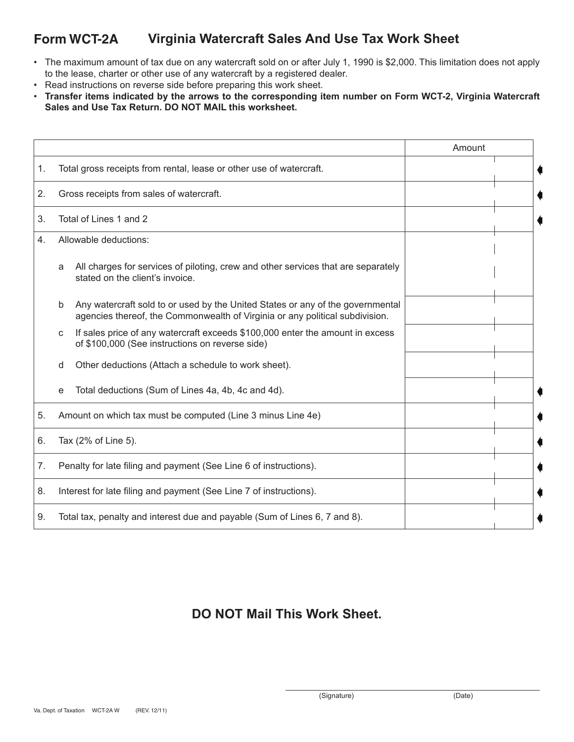# **Form WCT-2A Virginia Watercraft Sales And Use Tax Work Sheet**

- The maximum amount of tax due on any watercraft sold on or after July 1, 1990 is \$2,000. This limitation does not apply to the lease, charter or other use of any watercraft by a registered dealer.
- Read instructions on reverse side before preparing this work sheet.
- • **Transfer items indicated by the arrows to the corresponding item number on Form WCT-2, Virginia Watercraft Sales and Use Tax Return. Do Not mail this worksheet.**

|    |                                                                                                                                                                     | Amount |
|----|---------------------------------------------------------------------------------------------------------------------------------------------------------------------|--------|
| 1. | Total gross receipts from rental, lease or other use of watercraft.                                                                                                 |        |
| 2. | Gross receipts from sales of watercraft.                                                                                                                            |        |
| 3. | Total of Lines 1 and 2                                                                                                                                              |        |
| 4. | Allowable deductions:                                                                                                                                               |        |
|    | All charges for services of piloting, crew and other services that are separately<br>a<br>stated on the client's invoice.                                           |        |
|    | Any watercraft sold to or used by the United States or any of the governmental<br>b<br>agencies thereof, the Commonwealth of Virginia or any political subdivision. |        |
|    | If sales price of any watercraft exceeds \$100,000 enter the amount in excess<br>C<br>of \$100,000 (See instructions on reverse side)                               |        |
|    | d<br>Other deductions (Attach a schedule to work sheet).                                                                                                            |        |
|    | Total deductions (Sum of Lines 4a, 4b, 4c and 4d).<br>e                                                                                                             |        |
| 5. | Amount on which tax must be computed (Line 3 minus Line 4e)                                                                                                         |        |
| 6. | Tax (2% of Line 5).                                                                                                                                                 |        |
| 7. | Penalty for late filing and payment (See Line 6 of instructions).                                                                                                   |        |
| 8. | Interest for late filing and payment (See Line 7 of instructions).                                                                                                  |        |
| 9. | Total tax, penalty and interest due and payable (Sum of Lines 6, 7 and 8).                                                                                          |        |

# **Do Not Mail This Work Sheet.**